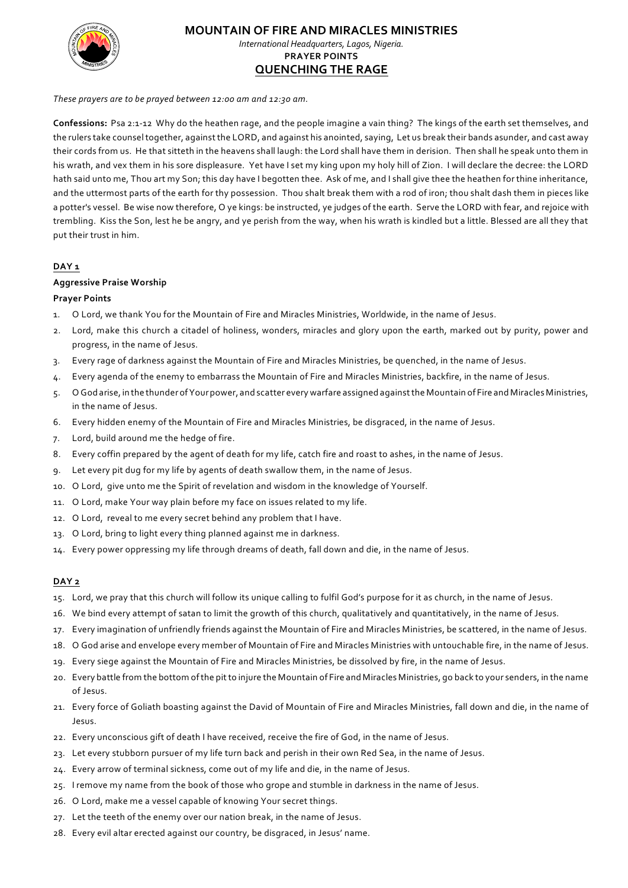

# **MOUNTAIN OF FIRE AND MIRACLES MINISTRIES**

*International Headquarters, Lagos, Nigeria.* **PRAYER POINTS QUENCHING THE RAGE**

*These prayers are to be prayed between 12:00 am and 12:30 am.*

**Confessions:** Psa 2:1-12 Why do the heathen rage, and the people imagine a vain thing? The kings of the earth set themselves, and the rulers take counsel together, againstthe LORD, and against his anointed, saying, Let us break their bands asunder, and cast away their cords from us. He that sitteth in the heavens shall laugh: the Lord shall have them in derision. Then shall he speak unto them in his wrath, and vex them in his sore displeasure. Yet have I set my king upon my holy hill of Zion. I will declare the decree: the LORD hath said unto me, Thou art my Son; this day have I begotten thee. Ask of me, and I shall give thee the heathen for thine inheritance, and the uttermost parts of the earth for thy possession. Thou shalt break them with a rod of iron; thou shalt dash them in pieces like a potter's vessel. Be wise now therefore, O ye kings: be instructed, ye judges of the earth. Serve the LORD with fear, and rejoice with trembling. Kiss the Son, lest he be angry, and ye perish from the way, when his wrath is kindled but a little. Blessed are all they that put their trust in him.

## **DAY 1**

## **Aggressive Praise Worship**

## **Prayer Points**

- 1. O Lord, we thank You for the Mountain of Fire and Miracles Ministries, Worldwide, in the name of Jesus.
- 2. Lord, make this church a citadel of holiness, wonders, miracles and glory upon the earth, marked out by purity, power and progress, in the name of Jesus.
- 3. Every rage of darkness against the Mountain of Fire and Miracles Ministries, be quenched, in the name of Jesus.
- 4. Every agenda of the enemy to embarrass the Mountain of Fire and Miracles Ministries, backfire, in the name of Jesus.
- 5. O God arise, in the thunderofYourpower, and scatter every warfare assigned againstthe Mountain of Fire and Miracles Ministries, in the name of Jesus.
- 6. Every hidden enemy of the Mountain of Fire and Miracles Ministries, be disgraced, in the name of Jesus.
- 7. Lord, build around me the hedge of fire.
- 8. Every coffin prepared by the agent of death for my life, catch fire and roast to ashes, in the name of Jesus.
- 9. Let every pit dug for my life by agents of death swallow them, in the name of Jesus.
- 10. O Lord, give unto me the Spirit of revelation and wisdom in the knowledge of Yourself.
- 11. O Lord, make Your way plain before my face on issues related to my life.
- 12. O Lord, reveal to me every secret behind any problem that I have.
- 13. O Lord, bring to light every thing planned against me in darkness.
- 14. Every power oppressing my life through dreams of death, fall down and die, in the name of Jesus.

- 15. Lord, we pray that this church will follow its unique calling to fulfil God's purpose for it as church, in the name of Jesus.
- 16. We bind every attempt of satan to limit the growth of this church, qualitatively and quantitatively, in the name of Jesus.
- 17. Every imagination of unfriendly friends against the Mountain of Fire and Miracles Ministries, be scattered, in the name of Jesus.
- 18. O God arise and envelope every member of Mountain of Fire and Miracles Ministries with untouchable fire, in the name of Jesus.
- 19. Every siege against the Mountain of Fire and Miracles Ministries, be dissolved by fire, in the name of Jesus.
- 20. Every battle from the bottom ofthe pitto injure the Mountain of Fire and Miracles Ministries, go back to your senders, in the name of Jesus.
- 21. Every force of Goliath boasting against the David of Mountain of Fire and Miracles Ministries, fall down and die, in the name of Jesus.
- 22. Every unconscious gift of death I have received, receive the fire of God, in the name of Jesus.
- 23. Let every stubborn pursuer of my life turn back and perish in their own Red Sea, in the name of Jesus.
- 24. Every arrow of terminal sickness, come out of my life and die, in the name of Jesus.
- 25. I remove my name from the book of those who grope and stumble in darkness in the name of Jesus.
- 26. O Lord, make me a vessel capable of knowing Your secret things.
- 27. Let the teeth of the enemy over our nation break, in the name of Jesus.
- 28. Every evil altar erected against our country, be disgraced, in Jesus' name.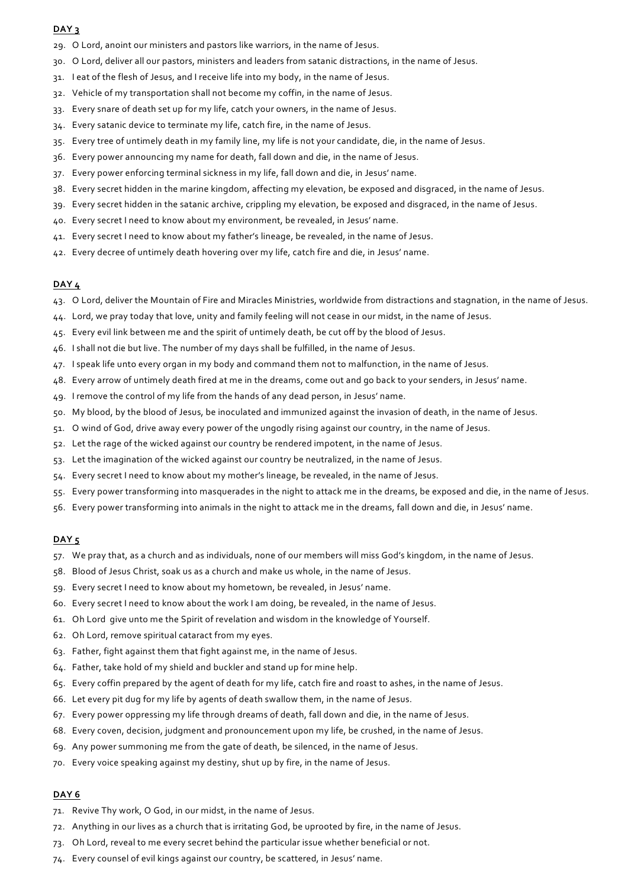- 29. O Lord, anoint our ministers and pastors like warriors, in the name of Jesus.
- 30. O Lord, deliver all our pastors, ministers and leaders from satanic distractions, in the name of Jesus.
- 31. I eat of the flesh of Jesus, and I receive life into my body, in the name of Jesus.
- 32. Vehicle of my transportation shall not become my coffin, in the name of Jesus.
- 33. Every snare of death set up for my life, catch your owners, in the name of Jesus.
- 34. Every satanic device to terminate my life, catch fire, in the name of Jesus.
- 35. Every tree of untimely death in my family line, my life is not your candidate, die, in the name of Jesus.
- 36. Every power announcing my name for death, fall down and die, in the name of Jesus.
- 37. Every power enforcing terminal sickness in my life, fall down and die, in Jesus' name.
- 38. Every secret hidden in the marine kingdom, affecting my elevation, be exposed and disgraced, in the name of Jesus.
- 39. Every secret hidden in the satanic archive, crippling my elevation, be exposed and disgraced, in the name of Jesus.
- 40. Every secret I need to know about my environment, be revealed, in Jesus' name.
- 41. Every secret I need to know about my father's lineage, be revealed, in the name of Jesus.
- 42. Every decree of untimely death hovering over my life, catch fire and die, in Jesus' name.

### **DAY 4**

- 43. O Lord, deliver the Mountain of Fire and Miracles Ministries, worldwide from distractions and stagnation, in the name of Jesus.
- 44. Lord, we pray today that love, unity and family feeling will not cease in our midst, in the name of Jesus.
- 45. Every evil link between me and the spirit of untimely death, be cut off by the blood of Jesus.
- 46. I shall not die but live. The number of my days shall be fulfilled, in the name of Jesus.
- 47. I speak life unto every organ in my body and command them not to malfunction, in the name of Jesus.
- 48. Every arrow of untimely death fired at me in the dreams, come out and go back to your senders, in Jesus' name.
- 49. I remove the control of my life from the hands of any dead person, in Jesus' name.
- 50. My blood, by the blood of Jesus, be inoculated and immunized against the invasion of death, in the name of Jesus.
- 51. O wind of God, drive away every power of the ungodly rising against our country, in the name of Jesus.
- 52. Let the rage of the wicked against our country be rendered impotent, in the name of Jesus.
- 53. Let the imagination of the wicked against our country be neutralized, in the name of Jesus.
- 54. Every secret I need to know about my mother's lineage, be revealed, in the name of Jesus.
- 55. Every power transforming into masquerades in the night to attack me in the dreams, be exposed and die, in the name of Jesus.
- 56. Every power transforming into animals in the night to attack me in the dreams, fall down and die, in Jesus' name.

## **DAY 5**

- 57. We pray that, as a church and as individuals, none of our members will miss God's kingdom, in the name of Jesus.
- 58. Blood of Jesus Christ, soak us as a church and make us whole, in the name of Jesus.
- 59. Every secret I need to know about my hometown, be revealed, in Jesus' name.
- 60. Every secret I need to know about the work I am doing, be revealed, in the name of Jesus.
- 61. Oh Lord give unto me the Spirit of revelation and wisdom in the knowledge of Yourself.
- 62. Oh Lord, remove spiritual cataract from my eyes.
- 63. Father, fight against them that fight against me, in the name of Jesus.
- 64. Father, take hold of my shield and buckler and stand up for mine help.
- 65. Every coffin prepared by the agent of death for my life, catch fire and roast to ashes, in the name of Jesus.
- 66. Let every pit dug for my life by agents of death swallow them, in the name of Jesus.
- 67. Every power oppressing my life through dreams of death, fall down and die, in the name of Jesus.
- 68. Every coven, decision, judgment and pronouncement upon my life, be crushed, in the name of Jesus.
- 69. Any power summoning me from the gate of death, be silenced, in the name of Jesus.
- 70. Every voice speaking against my destiny, shut up by fire, in the name of Jesus.

- 71. Revive Thy work, O God, in our midst, in the name of Jesus.
- 72. Anything in our lives as a church that is irritating God, be uprooted by fire, in the name of Jesus.
- 73. Oh Lord, reveal to me every secret behind the particular issue whether beneficial or not.
- 74. Every counsel of evil kings against our country, be scattered, in Jesus' name.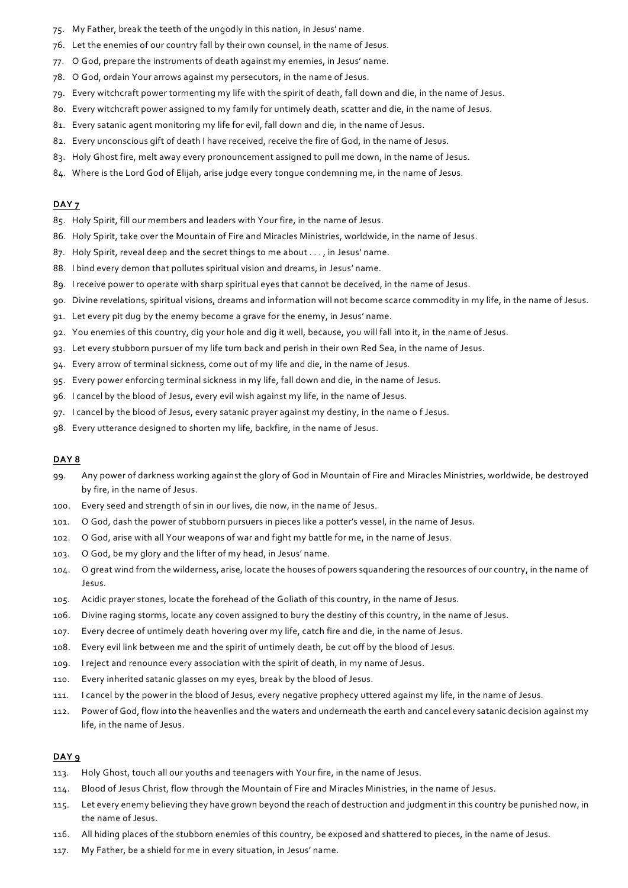- 75. My Father, break the teeth of the ungodly in this nation, in Jesus' name.
- 76. Let the enemies of our country fall by their own counsel, in the name of Jesus.
- 77. O God, prepare the instruments of death against my enemies, in Jesus' name.
- 78. O God, ordain Your arrows against my persecutors, in the name of Jesus.
- 79. Every witchcraft power tormenting my life with the spirit of death, fall down and die, in the name of Jesus.
- 80. Every witchcraft power assigned to my family for untimely death, scatter and die, in the name of Jesus.
- 81. Every satanic agent monitoring my life for evil, fall down and die, in the name of Jesus.
- 82. Every unconscious gift of death I have received, receive the fire of God, in the name of Jesus.
- 83. Holy Ghost fire, melt away every pronouncement assigned to pull me down, in the name of Jesus.
- 84. Where is the Lord God of Elijah, arise judge every tongue condemning me, in the name of Jesus.

- 85. Holy Spirit, fill our members and leaders with Your fire, in the name of Jesus.
- 86. Holy Spirit, take over the Mountain of Fire and Miracles Ministries, worldwide, in the name of Jesus.
- 87. Holy Spirit, reveal deep and the secret things to me about . . . , in Jesus' name.
- 88. I bind every demon that pollutes spiritual vision and dreams, in Jesus' name.
- 89. I receive power to operate with sharp spiritual eyes that cannot be deceived, in the name of Jesus.
- 90. Divine revelations, spiritual visions, dreams and information will not become scarce commodity in my life, in the name of Jesus.
- 91. Let every pit dug by the enemy become a grave for the enemy, in Jesus' name.
- 92. You enemies of this country, dig your hole and dig it well, because, you will fall into it, in the name of Jesus.
- 93. Let every stubborn pursuer of my life turn back and perish in their own Red Sea, in the name of Jesus.
- 94. Every arrow of terminal sickness, come out of my life and die, in the name of Jesus.
- 95. Every power enforcing terminal sickness in my life, fall down and die, in the name of Jesus.
- 96. I cancel by the blood of Jesus, every evil wish against my life, in the name of Jesus.
- 97. I cancel by the blood of Jesus, every satanic prayer against my destiny, in the name o f Jesus.
- 98. Every utterance designed to shorten my life, backfire, in the name of Jesus.

## **DAY 8**

- 99. Any power of darkness working against the glory of God in Mountain of Fire and Miracles Ministries, worldwide, be destroyed by fire, in the name of Jesus.
- 100. Every seed and strength of sin in our lives, die now, in the name of Jesus.
- 101. O God, dash the power of stubborn pursuers in pieces like a potter's vessel, in the name of Jesus.
- 102. O God, arise with all Your weapons of war and fight my battle for me, in the name of Jesus.
- 103. O God, be my glory and the lifter of my head, in Jesus' name.
- 104. O great wind from the wilderness, arise, locate the houses of powers squandering the resources of our country, in the name of Jesus.
- 105. Acidic prayer stones, locate the forehead of the Goliath of this country, in the name of Jesus.
- 106. Divine raging storms, locate any coven assigned to bury the destiny of this country, in the name of Jesus.
- 107. Every decree of untimely death hovering over my life, catch fire and die, in the name of Jesus.
- 108. Every evil link between me and the spirit of untimely death, be cut off by the blood of Jesus.
- 109. I reject and renounce every association with the spirit of death, in my name of Jesus.
- 110. Every inherited satanic glasses on my eyes, break by the blood of Jesus.
- 111. I cancel by the power in the blood of Jesus, every negative prophecy uttered against my life, in the name of Jesus.
- 112. Power of God, flow into the heavenlies and the waters and underneath the earth and cancel every satanic decision against my life, in the name of Jesus.

- 113. Holy Ghost, touch all our youths and teenagers with Your fire, in the name of Jesus.
- 114. Blood of Jesus Christ, flow through the Mountain of Fire and Miracles Ministries, in the name of Jesus.
- 115. Let every enemy believing they have grown beyond the reach of destruction and judgment in this country be punished now, in the name of Jesus.
- 116. All hiding places of the stubborn enemies of this country, be exposed and shattered to pieces, in the name of Jesus.
- 117. My Father, be a shield for me in every situation, in Jesus' name.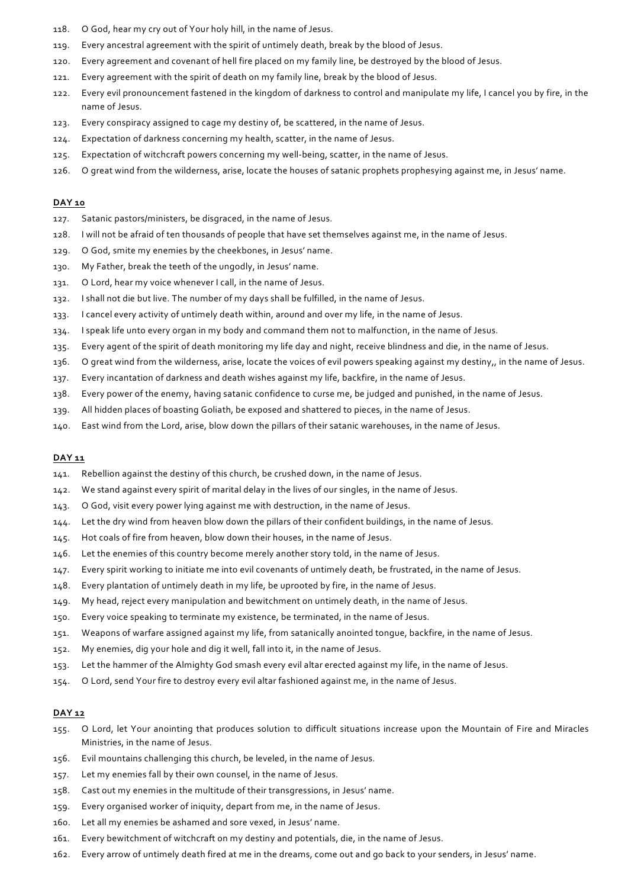- 118. O God, hear my cry out of Your holy hill, in the name of Jesus.
- 119. Every ancestral agreement with the spirit of untimely death, break by the blood of Jesus.
- 120. Every agreement and covenant of hell fire placed on my family line, be destroyed by the blood of Jesus.
- 121. Every agreement with the spirit of death on my family line, break by the blood of Jesus.
- 122. Every evil pronouncement fastened in the kingdom of darkness to control and manipulate my life, I cancel you by fire, in the name of Jesus.
- 123. Every conspiracy assigned to cage my destiny of, be scattered, in the name of Jesus.
- 124. Expectation of darkness concerning my health, scatter, in the name of Jesus.
- 125. Expectation of witchcraft powers concerning my well-being, scatter, in the name of Jesus.
- 126. O great wind from the wilderness, arise, locate the houses of satanic prophets prophesying against me, in Jesus' name.

- 127. Satanic pastors/ministers, be disgraced, in the name of Jesus.
- 128. I will not be afraid of ten thousands of people that have set themselves against me, in the name of Jesus.
- 129. O God, smite my enemies by the cheekbones, in Jesus' name.
- 130. My Father, break the teeth of the ungodly, in Jesus' name.
- 131. O Lord, hear my voice whenever I call, in the name of Jesus.
- 132. I shall not die but live. The number of my days shall be fulfilled, in the name of Jesus.
- 133. I cancel every activity of untimely death within, around and over my life, in the name of Jesus.
- 134. I speak life unto every organ in my body and command them not to malfunction, in the name of Jesus.
- 135. Every agent of the spirit of death monitoring my life day and night, receive blindness and die, in the name of Jesus.
- 136. O great wind from the wilderness, arise, locate the voices of evil powers speaking against my destiny,, in the name of Jesus.
- 137. Every incantation of darkness and death wishes against my life, backfire, in the name of Jesus.
- 138. Every power of the enemy, having satanic confidence to curse me, be judged and punished, in the name of Jesus.
- 139. All hidden places of boasting Goliath, be exposed and shattered to pieces, in the name of Jesus.
- 140. East wind from the Lord, arise, blow down the pillars of their satanic warehouses, in the name of Jesus.

## **DAY 11**

- 141. Rebellion against the destiny of this church, be crushed down, in the name of Jesus.
- 142. We stand against every spirit of marital delay in the lives of our singles, in the name of Jesus.
- 143. O God, visit every power lying against me with destruction, in the name of Jesus.
- 144. Let the dry wind from heaven blow down the pillars of their confident buildings, in the name of Jesus.
- 145. Hot coals of fire from heaven, blow down their houses, in the name of Jesus.
- 146. Let the enemies of this country become merely another story told, in the name of Jesus.
- 147. Every spirit working to initiate me into evil covenants of untimely death, be frustrated, in the name of Jesus.
- 148. Every plantation of untimely death in my life, be uprooted by fire, in the name of Jesus.
- 149. My head, reject every manipulation and bewitchment on untimely death, in the name of Jesus.
- 150. Every voice speaking to terminate my existence, be terminated, in the name of Jesus.
- 151. Weapons of warfare assigned against my life, from satanically anointed tongue, backfire, in the name of Jesus.
- 152. My enemies, dig your hole and dig it well, fall into it, in the name of Jesus.
- 153. Let the hammer of the Almighty God smash every evil altar erected against my life, in the name of Jesus.
- 154. O Lord, send Your fire to destroy every evil altar fashioned against me, in the name of Jesus.

- 155. O Lord, let Your anointing that produces solution to difficult situations increase upon the Mountain of Fire and Miracles Ministries, in the name of Jesus.
- 156. Evil mountains challenging this church, be leveled, in the name of Jesus.
- 157. Let my enemies fall by their own counsel, in the name of Jesus.
- 158. Cast out my enemies in the multitude of their transgressions, in Jesus' name.
- 159. Every organised worker of iniquity, depart from me, in the name of Jesus.
- 160. Let all my enemies be ashamed and sore vexed, in Jesus' name.
- 161. Every bewitchment of witchcraft on my destiny and potentials, die, in the name of Jesus.
- 162. Every arrow of untimely death fired at me in the dreams, come out and go back to your senders, in Jesus' name.